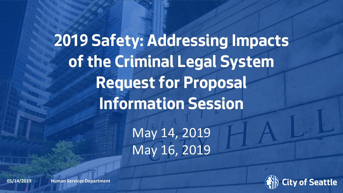**2019 Safety: Addressing Impacts of the Criminal Legal System Request for Proposal Information Session** May 14, 2019 May 16, 2019

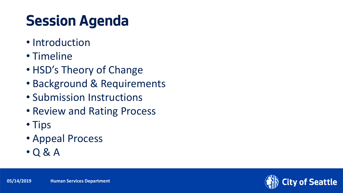## **Session Agenda**

- Introduction
- Timeline
- HSD's Theory of Change
- Background & Requirements
- Submission Instructions
- Review and Rating Process
- Tips
- Appeal Process
- Q & A

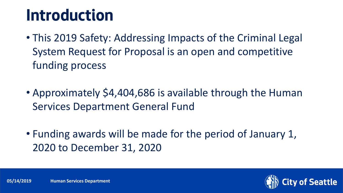## **Introduction**

- This 2019 Safety: Addressing Impacts of the Criminal Legal System Request for Proposal is an open and competitive funding process
- Approximately \$4,404,686 is available through the Human Services Department General Fund
- Funding awards will be made for the period of January 1, 2020 to December 31, 2020

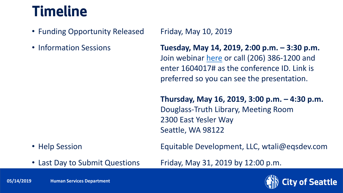#### **Timeline**

- Funding Opportunity Released Friday, May 10, 2019
- 

• Information Sessions **Tuesday, May 14, 2019, 2:00 p.m. – 3:30 p.m.** Join webinar [here](https://meet.seattle.gov/leslea.bowling/GFF0Y4JD) or call (206) 386-1200 and enter 1604017# as the conference ID. Link is preferred so you can see the presentation.

> **Thursday, May 16, 2019, 3:00 p.m. – 4:30 p.m.** Douglass-Truth Library, Meeting Room 2300 East Yesler Way Seattle, WA 98122

• Help Session **Equitable Development, LLC, wtali@eqsdev.com** 

• Last Day to Submit Questions Friday, May 31, 2019 by 12:00 p.m.

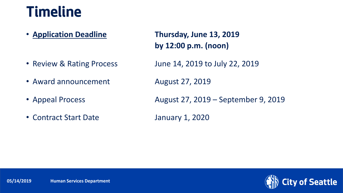#### **Timeline**

- 
- Award announcement August 27, 2019
- 
- Contract Start Date January 1, 2020

• **Application Deadline Thursday, June 13, 2019 by 12:00 p.m. (noon)**

• Review & Rating Process June 14, 2019 to July 22, 2019

• Appeal Process **August 27, 2019 – September 9, 2019** 

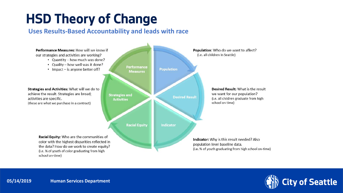#### **HSD Theory of Change**

#### **Uses Results-Based Accountability and leads with race**

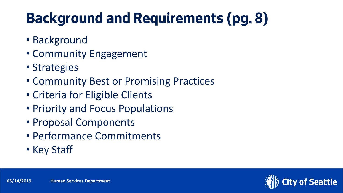#### **Background and Requirements (pg. 8)**

- Background
- Community Engagement
- Strategies
- Community Best or Promising Practices
- Criteria for Eligible Clients
- Priority and Focus Populations
- Proposal Components
- Performance Commitments
- Key Staff

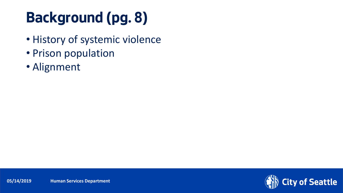## **Background (pg. 8)**

- History of systemic violence
- Prison population
- Alignment

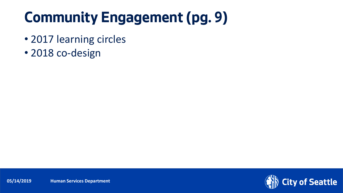## **Community Engagement (pg. 9)**

- 2017 learning circles
- 2018 co-design

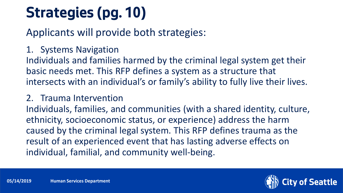# **Strategies (pg. 10)**

Applicants will provide both strategies:

1. Systems Navigation

Individuals and families harmed by the criminal legal system get their basic needs met. This RFP defines a system as a structure that intersects with an individual's or family's ability to fully live their lives.

#### 2. Trauma Intervention

Individuals, families, and communities (with a shared identity, culture, ethnicity, socioeconomic status, or experience) address the harm caused by the criminal legal system. This RFP defines trauma as the result of an experienced event that has lasting adverse effects on individual, familial, and community well-being.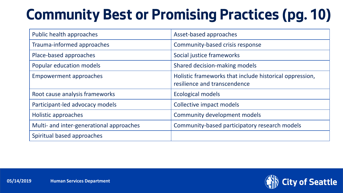### **Community Best or Promising Practices (pg. 10)**

| Public health approaches                 | Asset-based approaches                                                                  |
|------------------------------------------|-----------------------------------------------------------------------------------------|
| Trauma-informed approaches               | Community-based crisis response                                                         |
| Place-based approaches                   | Social justice frameworks                                                               |
| Popular education models                 | Shared decision-making models                                                           |
| <b>Empowerment approaches</b>            | Holistic frameworks that include historical oppression,<br>resilience and transcendence |
| Root cause analysis frameworks           | <b>Ecological models</b>                                                                |
| Participant-led advocacy models          | <b>Collective impact models</b>                                                         |
| Holistic approaches                      | Community development models                                                            |
| Multi- and inter-generational approaches | Community-based participatory research models                                           |
| Spiritual based approaches               |                                                                                         |

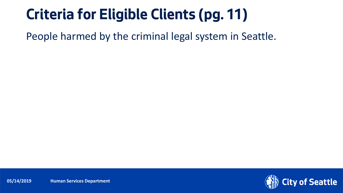#### **Criteria for Eligible Clients (pg. 11)**

People harmed by the criminal legal system in Seattle.

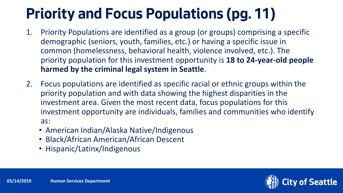## **Priority and Focus Populations (pg. 11)**

- 1. Priority Populations are identified as a group (or groups) comprising a specific demographic (seniors, youth, families, etc.) or having a specific issue in common (homelessness, behavioral health, violence involved, etc.). The priority population for this investment opportunity is **18 to 24-year-old people harmed by the criminal legal system in Seattle**.
- 2. Focus populations are identified as specific racial or ethnic groups within the priority population and with data showing the highest disparities in the investment area. Given the most recent data, focus populations for this investment opportunity are individuals, families and communities who identify as:
	- American Indian/Alaska Native/Indigenous
	- Black/African American/African Descent
	- Hispanic/Latinx/Indigenous

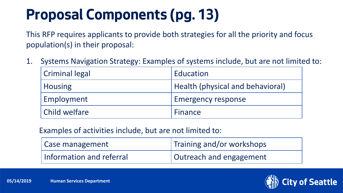#### **Proposal Components (pg. 13)**

This RFP requires applicants to provide both strategies for all the priority and focus population(s) in their proposal:

1. Systems Navigation Strategy: Examples of systems include, but are not limited to:

| <b>Criminal legal</b> | Education                               |
|-----------------------|-----------------------------------------|
| <b>Housing</b>        | <b>Health (physical and behavioral)</b> |
| Employment            | <b>Emergency response</b>               |
| Child welfare         | Finance                                 |

Examples of activities include, but are not limited to:

| Case management          | Training and/or workshops |
|--------------------------|---------------------------|
| Information and referral | Outreach and engagement   |

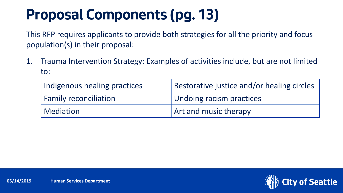#### **Proposal Components (pg. 13)**

This RFP requires applicants to provide both strategies for all the priority and focus population(s) in their proposal:

1. Trauma Intervention Strategy: Examples of activities include, but are not limited to:

| Indigenous healing practices | Restorative justice and/or healing circles |
|------------------------------|--------------------------------------------|
| <b>Family reconciliation</b> | Undoing racism practices                   |
| Mediation                    | <b>Art and music therapy</b>               |

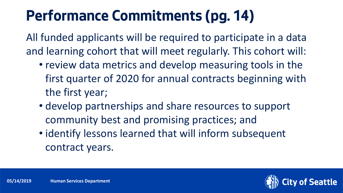### **Performance Commitments (pg. 14)**

All funded applicants will be required to participate in a data and learning cohort that will meet regularly. This cohort will:

- review data metrics and develop measuring tools in the first quarter of 2020 for annual contracts beginning with the first year;
- develop partnerships and share resources to support community best and promising practices; and
- identify lessons learned that will inform subsequent contract years.

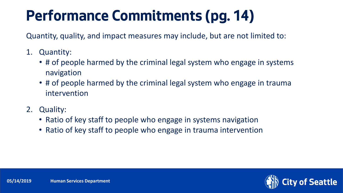## **Performance Commitments (pg. 14)**

Quantity, quality, and impact measures may include, but are not limited to:

- 1. Quantity:
	- # of people harmed by the criminal legal system who engage in systems navigation
	- # of people harmed by the criminal legal system who engage in trauma intervention
- 2. Quality:
	- Ratio of key staff to people who engage in systems navigation
	- Ratio of key staff to people who engage in trauma intervention

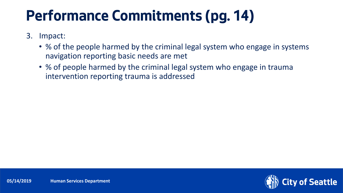#### **Performance Commitments (pg. 14)**

- 3. Impact:
	- % of the people harmed by the criminal legal system who engage in systems navigation reporting basic needs are met
	- % of people harmed by the criminal legal system who engage in trauma intervention reporting trauma is addressed

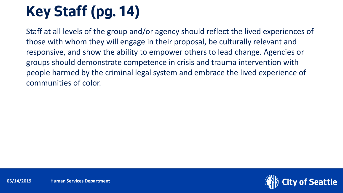# **Key Staff (pg. 14)**

Staff at all levels of the group and/or agency should reflect the lived experiences of those with whom they will engage in their proposal, be culturally relevant and responsive, and show the ability to empower others to lead change. Agencies or groups should demonstrate competence in crisis and trauma intervention with people harmed by the criminal legal system and embrace the lived experience of communities of color.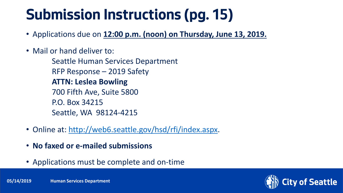#### **Submission Instructions (pg. 15)**

- Applications due on **12:00 p.m. (noon) on Thursday, June 13, 2019.**
- Mail or hand deliver to:

Seattle Human Services Department RFP Response – 2019 Safety **ATTN: Leslea Bowling** 700 Fifth Ave, Suite 5800 P.O. Box 34215 Seattle, WA 98124-4215

- Online at: <http://web6.seattle.gov/hsd/rfi/index.aspx>.
- **No faxed or e-mailed submissions**
- Applications must be complete and on-time

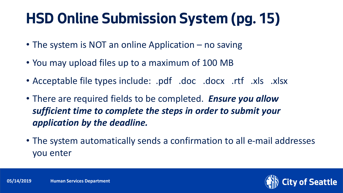#### **HSD Online Submission System (pg. 15)**

- The system is NOT an online Application no saving
- You may upload files up to a maximum of 100 MB
- Acceptable file types include: .pdf .doc .docx .rtf .xls .xlsx
- There are required fields to be completed. *Ensure you allow sufficient time to complete the steps in order to submit your application by the deadline.*
- The system automatically sends a confirmation to all e-mail addresses you enter

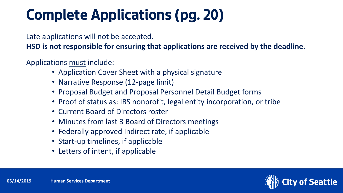### **Complete Applications (pg. 20)**

Late applications will not be accepted.

**HSD is not responsible for ensuring that applications are received by the deadline.**

Applications must include:

- Application Cover Sheet with a physical signature
- Narrative Response (12-page limit)
- Proposal Budget and Proposal Personnel Detail Budget forms
- Proof of status as: IRS nonprofit, legal entity incorporation, or tribe
- Current Board of Directors roster
- Minutes from last 3 Board of Directors meetings
- Federally approved Indirect rate, if applicable
- Start-up timelines, if applicable
- Letters of intent, if applicable

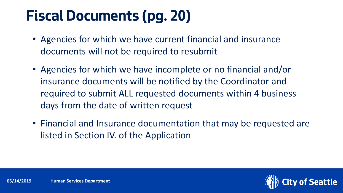#### **Fiscal Documents (pg. 20)**

- Agencies for which we have current financial and insurance documents will not be required to resubmit
- Agencies for which we have incomplete or no financial and/or insurance documents will be notified by the Coordinator and required to submit ALL requested documents within 4 business days from the date of written request
- Financial and Insurance documentation that may be requested are listed in Section IV. of the Application

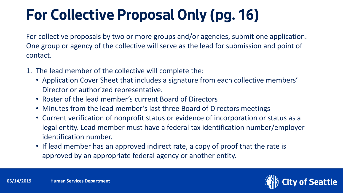## **For Collective Proposal Only (pg. 16)**

For collective proposals by two or more groups and/or agencies, submit one application. One group or agency of the collective will serve as the lead for submission and point of contact.

- 1. The lead member of the collective will complete the:
	- Application Cover Sheet that includes a signature from each collective members' Director or authorized representative.
	- Roster of the lead member's current Board of Directors
	- Minutes from the lead member's last three Board of Directors meetings
	- Current verification of nonprofit status or evidence of incorporation or status as a legal entity. Lead member must have a federal tax identification number/employer identification number.
	- If lead member has an approved indirect rate, a copy of proof that the rate is approved by an appropriate federal agency or another entity.

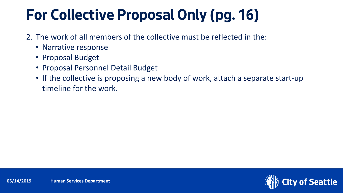#### **For Collective Proposal Only (pg. 16)**

- 2. The work of all members of the collective must be reflected in the:
	- Narrative response
	- Proposal Budget
	- Proposal Personnel Detail Budget
	- If the collective is proposing a new body of work, attach a separate start-up timeline for the work.

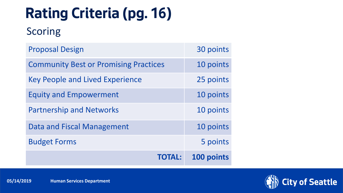## **Rating Criteria (pg. 16)**

#### Scoring

| <b>Proposal Design</b>                       | 30 points  |
|----------------------------------------------|------------|
| <b>Community Best or Promising Practices</b> | 10 points  |
| <b>Key People and Lived Experience</b>       | 25 points  |
| <b>Equity and Empowerment</b>                | 10 points  |
| <b>Partnership and Networks</b>              | 10 points  |
| <b>Data and Fiscal Management</b>            | 10 points  |
| <b>Budget Forms</b>                          | 5 points   |
| <b>TOTAL:</b>                                | 100 points |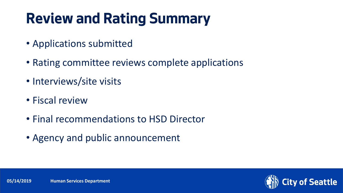### **Review and Rating Summary**

- Applications submitted
- Rating committee reviews complete applications
- Interviews/site visits
- Fiscal review
- Final recommendations to HSD Director
- Agency and public announcement

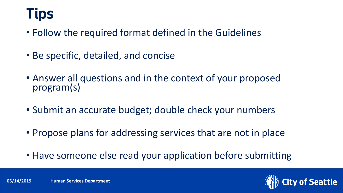#### **Tips**

- Follow the required format defined in the Guidelines
- Be specific, detailed, and concise
- Answer all questions and in the context of your proposed program(s)
- Submit an accurate budget; double check your numbers
- Propose plans for addressing services that are not in place
- Have someone else read your application before submitting

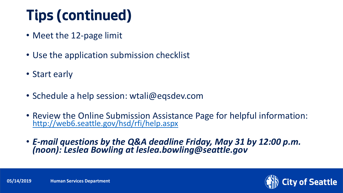## **Tips (continued)**

- Meet the 12-page limit
- Use the application submission checklist
- Start early
- Schedule a help session: wtali@eqsdev.com
- Review the Online Submission Assistance Page for helpful information: <http://web6.seattle.gov/hsd/rfi/help.aspx>
- *E-mail questions by the Q&A deadline Friday, May 31 by 12:00 p.m. (noon): Leslea Bowling at leslea.bowling@seattle.gov*



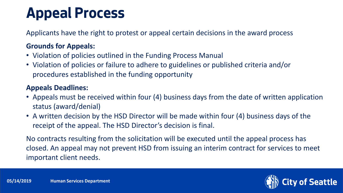#### **Appeal Process**

Applicants have the right to protest or appeal certain decisions in the award process

#### **Grounds for Appeals:**

- Violation of policies outlined in the Funding Process Manual
- Violation of policies or failure to adhere to guidelines or published criteria and/or procedures established in the funding opportunity

#### **Appeals Deadlines:**

- Appeals must be received within four (4) business days from the date of written application status (award/denial)
- A written decision by the HSD Director will be made within four (4) business days of the receipt of the appeal. The HSD Director's decision is final.

No contracts resulting from the solicitation will be executed until the appeal process has closed. An appeal may not prevent HSD from issuing an interim contract for services to meet important client needs.